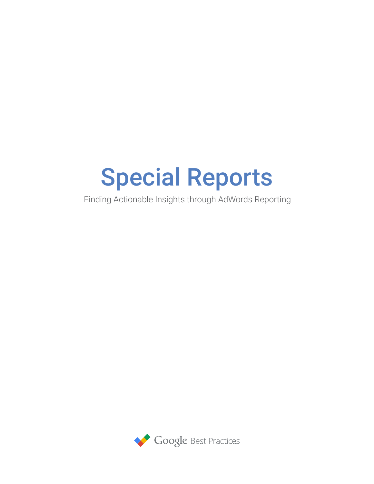# Special Reports

Finding Actionable Insights through AdWords Reporting

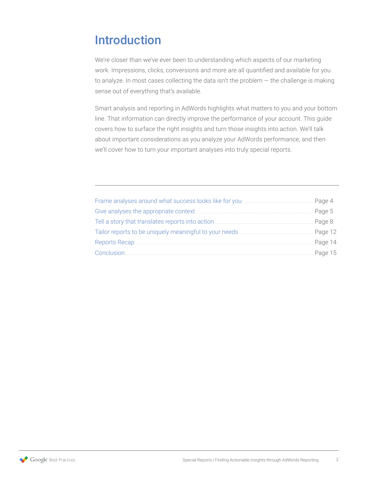# Introduction

We're closer than we've ever been to understanding which aspects of our marketing work. Impressions, clicks, conversions and more are all quantified and available for you to analyze. In most cases collecting the data isn't the problem — the challenge is making sense out of everything that's available.

Smart analysis and reporting in AdWords highlights what matters to you and your bottom line. That information can directly improve the performance of your account. This guide covers how to surface the right insights and turn those insights into action. We'll talk about important considerations as you analyze your AdWords performance, and then we'll cover how to turn your important analyses into truly special reports.

|                                                                                                                                                                                                                                      | Page 4  |
|--------------------------------------------------------------------------------------------------------------------------------------------------------------------------------------------------------------------------------------|---------|
|                                                                                                                                                                                                                                      | Page 5  |
|                                                                                                                                                                                                                                      | Page 8  |
|                                                                                                                                                                                                                                      | Page 12 |
| Reports Recap <b>Entitled Street and Tennish Contract Contract Contract Contract Contract Contract Contract Contract Contract Contract Contract Contract Contract Contract Contract Contract Contract Contract Contract Contract</b> | Page 14 |
|                                                                                                                                                                                                                                      |         |

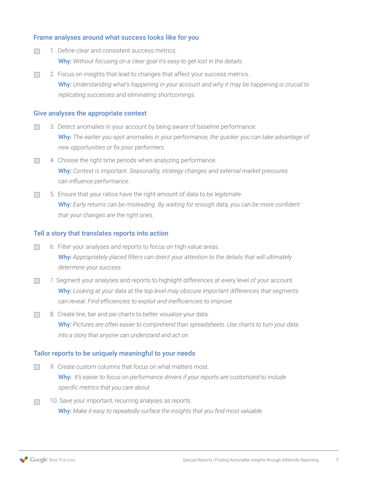#### Frame analyses around what success looks like for you

- 1. Define clear and consistent success metrics.  $\overline{\mathbb{R}^n}$ Why: *Without focusing on a clear goal it's easy to get lost in the details.*
- 2. Focus on insights that lead to changes that affect your success metrics.  $\Box$ Why: *Understanding what's happening in your account and why it may be happening is crucial to replicating successes and eliminating shortcomings.*

#### Give analyses the appropriate context

- 3. Detect anomalies in your account by being aware of baseline performance.  $\Box$ Why: *The earlier you spot anomalies in your performance, the quicker you can take advantage of new opportunities or fix poor performers.*
- $\mathcal{L}_{\mathcal{A}}$ 4. Choose the right time periods when analyzing performance. Why: *Context is important. Seasonality, strategy changes and external market pressures can influence performance.*
- 5. Ensure that your ratios have the right amount of data to be legitimate.  $\mathcal{L}^{\mathcal{L}}$ Why: *Early returns can be misleading. By waiting for enough data, you can be more confident that your changes are the right ones.*

#### Tell a story that translates reports into action

- $\Box$ 6. Filter your analyses and reports to focus on high-value areas. Why: *Appropriately placed filters can direct your attention to the details that will ultimately determine your success.*
- 7.  Segment your analyses and reports to highlight differences at every level of your account.  $\Box$ Why: *Looking at your data at the top level may obscure important differences that segments can reveal. Find efficiencies to exploit and inefficiencies to improve.*
- 8. Create line, bar and pie charts to better visualize your data.  $\overline{\phantom{a}}$ Why: *Pictures are often easier to comprehend than spreadsheets. Use charts to turn your data into a story that anyone can understand and act on.*

#### Tailor reports to be uniquely meaningful to your needs

- 9. Create custom columns that focus on what matters most.  $\overline{\mathbb{R}^n}$ Why: *It's easier to focus on performance drivers if your reports are customized to include specific metrics that you care about.*
- 10. Save your important, recurring analyses as reports.  $\Box$ Why: *Make it easy to repeatedly surface the insights that you find most valuable.*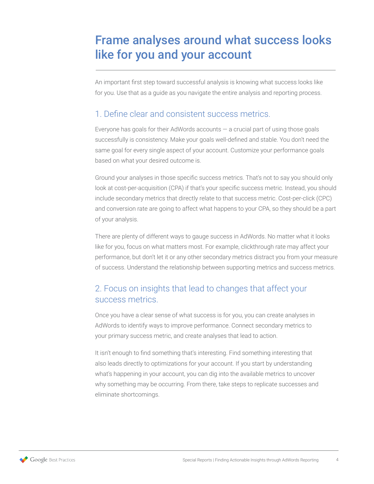# <span id="page-3-0"></span>Frame analyses around what success looks like for you and your account

An important first step toward successful analysis is knowing what success looks like for you. Use that as a guide as you navigate the entire analysis and reporting process.

#### 1. Define clear and consistent success metrics.

Everyone has goals for their AdWords accounts  $-$  a crucial part of using those goals successfully is consistency. Make your goals well-defined and stable. You don't need the same goal for every single aspect of your account. Customize your performance goals based on what your desired outcome is.

Ground your analyses in those specific success metrics. That's not to say you should only look at cost-per-acquisition (CPA) if that's your specific success metric. Instead, you should include secondary metrics that directly relate to that success metric. Cost-per-click (CPC) and conversion rate are going to affect what happens to your CPA, so they should be a part of your analysis.

There are plenty of different ways to gauge success in AdWords. No matter what it looks like for you, focus on what matters most. For example, clickthrough rate may affect your performance, but don't let it or any other secondary metrics distract you from your measure of success. Understand the relationship between supporting metrics and success metrics.

## 2. Focus on insights that lead to changes that affect your success metrics.

Once you have a clear sense of what success is for you, you can create analyses in AdWords to identify ways to improve performance. Connect secondary metrics to your primary success metric, and create analyses that lead to action.

It isn't enough to find something that's interesting. Find something interesting that also leads directly to optimizations for your account. If you start by understanding what's happening in your account, you can dig into the available metrics to uncover why something may be occurring. From there, take steps to replicate successes and eliminate shortcomings.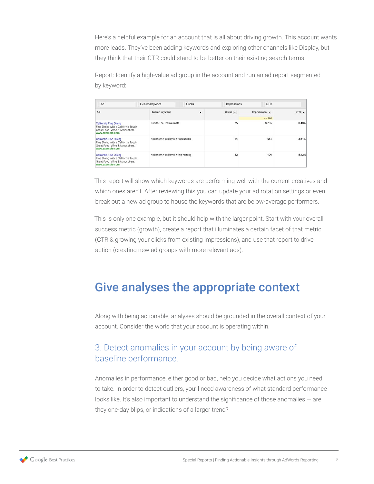<span id="page-4-0"></span>Here's a helpful example for an account that is all about driving growth. This account wants more leads. They've been adding keywords and exploring other channels like Display, but they think that their CTR could stand to be better on their existing search terms.

Report: Identify a high-value ad group in the account and run an ad report segmented by keyword:

| Ad                                                                                                                 | Search keyword                      | Clicks                             | Impressions            | <b>CTR</b>                          |         |
|--------------------------------------------------------------------------------------------------------------------|-------------------------------------|------------------------------------|------------------------|-------------------------------------|---------|
| Ad                                                                                                                 | Search keyword                      | $\overline{\phantom{a}}$           | $Clicks$ $\rightarrow$ | Impressions $\mathbf{\overline{v}}$ | $CTR -$ |
|                                                                                                                    |                                     |                                    |                        | $>= 100$                            |         |
| California Fine Dining<br>Fine Dining with a California Touch<br>Great Food, Wine & Atmosphere.<br>www.example.com | +north +ca +restaurants             |                                    | 35                     | 8,705                               | 0.40%   |
| California Fine Dining<br>Fine Dining with a California Touch<br>Great Food, Wine & Atmosphere.<br>www.example.com |                                     | +northern +california +restaurants | 24                     | 664                                 | 3.61%   |
| California Fine Dining<br>Fine Dining with a California Touch<br>Great Food, Wine & Atmosphere.<br>www.example.com | +northern +california +fine +dining |                                    | 22                     | 406                                 | 5.42%   |

This report will show which keywords are performing well with the current creatives and which ones aren't. After reviewing this you can update your ad rotation settings or even break out a new ad group to house the keywords that are below-average performers.

This is only one example, but it should help with the larger point. Start with your overall success metric (growth), create a report that illuminates a certain facet of that metric (CTR & growing your clicks from existing impressions), and use that report to drive action (creating new ad groups with more relevant ads).

## Give analyses the appropriate context

Along with being actionable, analyses should be grounded in the overall context of your account. Consider the world that your account is operating within.

## 3. Detect anomalies in your account by being aware of baseline performance.

Anomalies in performance, either good or bad, help you decide what actions you need to take. In order to detect outliers, you'll need awareness of what standard performance looks like. It's also important to understand the significance of those anomalies  $-$  are they one-day blips, or indications of a larger trend?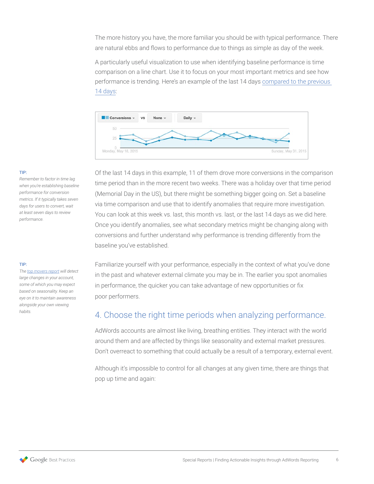The more history you have, the more familiar you should be with typical performance. There are natural ebbs and flows to performance due to things as simple as day of the week.

A particularly useful visualization to use when identifying baseline performance is time comparison on a line chart. Use it to focus on your most important metrics and see how performance is trending. Here's an example of the last 14 days [compared to the previous](https://support.google.com/adwords/answer/2454008)  [14 days:](https://support.google.com/adwords/answer/2454008)



#### TIP:

*Remember to factor in time lag when you're establishing baseline performance for conversion metrics. If it typically takes seven days for users to convert, wait at least seven days to review performance.*

#### TIP:

*The [top movers report](https://support.google.com/adwords/answer/2985776) will detect large changes in your account, some of which you may expect based on seasonality. Keep an eye on it to maintain awareness alongside your own viewing habits.*

Of the last 14 days in this example, 11 of them drove more conversions in the comparison time period than in the more recent two weeks. There was a holiday over that time period (Memorial Day in the US), but there might be something bigger going on. Set a baseline via time comparison and use that to identify anomalies that require more investigation. You can look at this week vs. last, this month vs. last, or the last 14 days as we did here. Once you identify anomalies, see what secondary metrics might be changing along with conversions and further understand why performance is trending differently from the baseline you've established.

Familiarize yourself with your performance, especially in the context of what you've done in the past and whatever external climate you may be in. The earlier you spot anomalies in performance, the quicker you can take advantage of new opportunities or fix poor performers.

## 4. Choose the right time periods when analyzing performance.

AdWords accounts are almost like living, breathing entities. They interact with the world around them and are affected by things like seasonality and external market pressures. Don't overreact to something that could actually be a result of a temporary, external event.

Although it's impossible to control for all changes at any given time, there are things that pop up time and again: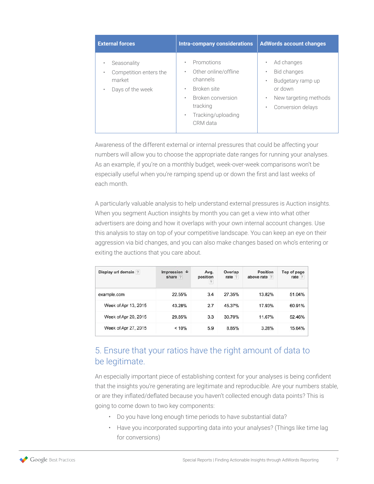| <b>External forces</b>                                                   | <b>Intra-company considerations</b>                                                                                                                                                       | <b>AdWords account changes</b>                                                                                                                           |
|--------------------------------------------------------------------------|-------------------------------------------------------------------------------------------------------------------------------------------------------------------------------------------|----------------------------------------------------------------------------------------------------------------------------------------------------------|
| Seasonality<br>Competition enters the<br>market<br>Days of the week<br>٠ | Promotions<br>$\bullet$<br>Other online/offline<br>٠<br>channels<br>Broken site<br>$\bullet$<br>Broken conversion<br>$\bullet$<br>tracking<br>Tracking/uploading<br>$\bullet$<br>CRM data | Ad changes<br>$\bullet$<br>Bid changes<br>٠<br>Budgetary ramp up<br>٠<br>or down<br>New targeting methods<br>$\bullet$<br>Conversion delays<br>$\bullet$ |

Awareness of the different external or internal pressures that could be affecting your numbers will allow you to choose the appropriate date ranges for running your analyses. As an example, if you're on a monthly budget, week-over-week comparisons won't be especially useful when you're ramping spend up or down the first and last weeks of each month.

A particularly valuable analysis to help understand external pressures is Auction insights. When you segment Auction insights by month you can get a view into what other advertisers are doing and how it overlaps with your own internal account changes. Use this analysis to stay on top of your competitive landscape. You can keep an eye on their aggression via bid changes, and you can also make changes based on who's entering or exiting the auctions that you care about.

| Display url domain ? | Impression $\downarrow$<br>share ? | Avg.<br>position<br>$\boldsymbol{\gamma}$ | Overlap<br>rate ? | <b>Position</b><br>above rate ? | Top of page<br>rate ? |
|----------------------|------------------------------------|-------------------------------------------|-------------------|---------------------------------|-----------------------|
| example.com          | 22.55%                             | 3.4                                       | 27.35%            | 13.82%                          | 51.04%                |
| Week of Apr 13, 2015 | 43.28%                             | 2.7                                       | 45.37%            | 17.93%                          | 60.91%                |
| Week of Apr 20, 2015 | 29.85%                             | 3.3                                       | 30.70%            | 11.67%                          | 52.46%                |
| Week of Apr 27, 2015 | < 10%                              | 5.9                                       | 8.85%             | 3.28%                           | 15.64%                |

## 5. Ensure that your ratios have the right amount of data to be legitimate.

An especially important piece of establishing context for your analyses is being confident that the insights you're generating are legitimate and reproducible. Are your numbers stable, or are they inflated/deflated because you haven't collected enough data points? This is going to come down to two key components:

- Do you have long enough time periods to have substantial data?
- Have you incorporated supporting data into your analyses? (Things like time lag for conversions)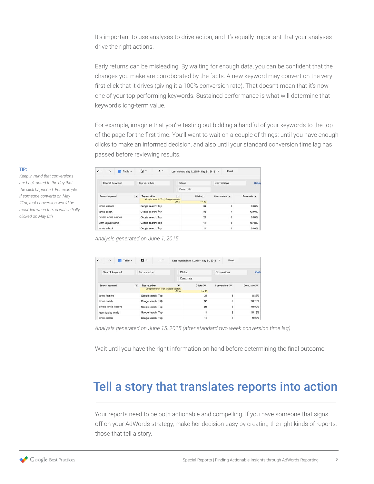<span id="page-7-0"></span>It's important to use analyses to drive action, and it's equally important that your analyses drive the right actions.

Early returns can be misleading. By waiting for enough data, you can be confident that the changes you make are corroborated by the facts. A new keyword may convert on the very first click that it drives (giving it a 100% conversion rate). That doesn't mean that it's now one of your top performing keywords. Sustained performance is what will determine that keyword's long-term value.

For example, imagine that you're testing out bidding a handful of your keywords to the top of the page for the first time. You'll want to wait on a couple of things: until you have enough clicks to make an informed decision, and also until your standard conversion time lag has passed before reviewing results.

| $\sim$ | $\sim$                 | $\overline{111}$ Table $\sim$ |         | 급 -                | $\pm$ $\sqrt{ }$                   |                  |            | Last month: May 1, 2015 - May 31, 2015 - |               | Reset          |              |
|--------|------------------------|-------------------------------|---------|--------------------|------------------------------------|------------------|------------|------------------------------------------|---------------|----------------|--------------|
|        | Search keyword         |                               |         | Top vs. other      |                                    |                  | Clicks     |                                          | Conversions   |                | Collar       |
|        |                        |                               |         |                    |                                    |                  | Conv. rate |                                          |               |                |              |
|        | Search keyword         |                               | $\cdot$ | Top vs. other      | Google search: Top, Google search: | $\cdot$<br>Other |            | Clicks <b>v</b><br>> 10                  | Conversions v |                | Conv. rate v |
|        | tennis lessons         |                               |         | Google search; Top |                                    |                  |            | 34                                       |               | $\circ$        | 0.00%        |
|        | tennis coach           |                               |         | Google search: Top |                                    |                  |            | 32                                       |               | 4              | 12.50%       |
|        | private tennis lessons |                               |         | Google search: Top |                                    |                  |            | 20                                       |               | Ō              | 0.00%        |
|        | learn to play tennis   |                               |         | Google search: Top |                                    |                  |            | 11                                       |               | $\overline{2}$ | 18.18%       |
|        | tennis school          |                               |         | Google search: Top |                                    |                  |            | 11                                       |               | $\circ$        | 0.00%        |

*Analysis generated on June 1, 2015*

| $\mathbf{r}$                               | $\sim$                 | $\overline{111}$ Table $\sim$ |                    | □ -                | $\pm$ $\sqrt{ }$                   |               | Last month: May 1, 2015 - May 31, 2015 - | Reset          |              |
|--------------------------------------------|------------------------|-------------------------------|--------------------|--------------------|------------------------------------|---------------|------------------------------------------|----------------|--------------|
|                                            | Search keyword         |                               |                    | Top vs. other      |                                    | <b>Clicks</b> |                                          | Conversions    | Colla        |
|                                            |                        |                               |                    |                    |                                    | Conv. rate    |                                          |                |              |
|                                            | Search keyword         |                               | ۰                  | Top vs. other      | Google search: Top, Google search: | $\mathbf{r}$  | Clicks <b>T</b>                          | Conversions -  | Conv. rate v |
|                                            |                        |                               |                    |                    |                                    | Other         | $>= 10$                                  |                |              |
|                                            | tennis lessons         |                               |                    | Google search: Top |                                    |               | 34                                       | 3              | 8.82%        |
|                                            | tennis coach           |                               |                    | Google search: Top |                                    |               | 32                                       | 6              | 18.75%       |
|                                            | private tennis lessons |                               |                    | Google search: Top |                                    |               | 20                                       | $\overline{2}$ | 10.00%       |
| Google search: Top<br>learn to play tennis |                        |                               | 11                 | $\overline{2}$     | 18.18%                             |               |                                          |                |              |
|                                            | tennis school          |                               | Google search: Top |                    |                                    |               | 11                                       |                | 9.09%        |

*Analysis generated on June 15, 2015 (after standard two week conversion time lag)*

Wait until you have the right information on hand before determining the final outcome.

# Tell a story that translates reports into action

Your reports need to be both actionable and compelling. If you have someone that signs off on your AdWords strategy, make her decision easy by creating the right kinds of reports: those that tell a story.

#### TIP:

*Keep in mind that conversions are back-dated to the day that the click happened. For example, if someone converts on May 21st, that conversion would be recorded when the ad was initially clicked on May 6th.*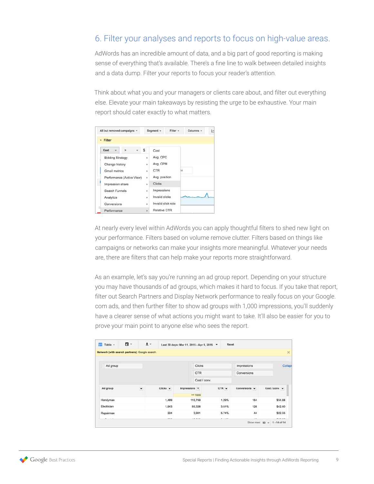## 6. Filter your analyses and reports to focus on high-value areas.

AdWords has an incredible amount of data, and a big part of good reporting is making sense of everything that's available. There's a fine line to walk between detailed insights and a data dump. Filter your reports to focus your reader's attention.

Think about what you and your managers or clients care about, and filter out everything else. Elevate your main takeaways by resisting the urge to be exhaustive. Your main report should cater exactly to what matters.

| All but removed campaigns = |   | Segment v<br>$Filter -$ | Columns v<br>$\overline{\phantom{a}}$ |
|-----------------------------|---|-------------------------|---------------------------------------|
| + Filter                    |   |                         |                                       |
| Cost<br>$\rightarrow$       | s | Cost                    |                                       |
| <b>Bidding Strategy</b>     | ٠ | Avg. CPC                |                                       |
| Change history              | × | Avg. CPM                |                                       |
| Gmail metrics               | ٠ | CTR                     | ìe                                    |
| Performance (Active View)   | ١ | Avg. position           |                                       |
| Impression share            | ٠ | <b>Clicks</b>           |                                       |
| Search Funnels              | × | Impressions             |                                       |
| Analytics                   | ٠ | Invalid clicks          |                                       |
| Conversions                 | × | Invalid click rate      |                                       |
| Performance                 | ٠ | <b>Relative CTR</b>     |                                       |

At nearly every level within AdWords you can apply thoughtful filters to shed new light on your performance. Filters based on volume remove clutter. Filters based on things like campaigns or networks can make your insights more meaningful. Whatever your needs are, there are filters that can help make your reports more straightforward.

As an example, let's say you're running an ad group report. Depending on your structure you may have thousands of ad groups, which makes it hard to focus. If you take that report, filter out Search Partners and Display Network performance to really focus on your Google. com ads, and then further filter to show ad groups with 1,000 impressions, you'll suddenly have a clearer sense of what actions you might want to take. It'll also be easier for you to prove your main point to anyone else who sees the report.

|                       |                | Reset   | Last 30 days: Mar 11, 2015 - Apr 9, 2015 - |       |                        | $\pm$ $\cdot$            | □ - | 而<br>Table +                                   |
|-----------------------|----------------|---------|--------------------------------------------|-------|------------------------|--------------------------|-----|------------------------------------------------|
| $\times$              |                |         |                                            |       |                        |                          |     | Network (with search partners): Google search. |
| Collap                | Impressions    |         | Clicks                                     |       |                        |                          |     | Ad group                                       |
|                       | Conversions    |         | <b>CTR</b>                                 |       |                        |                          |     |                                                |
|                       |                |         | Cost / conv.                               |       |                        |                          |     |                                                |
| Cost / conv. $\arrow$ | Conversions -  | $CTR +$ | Impressions <b>T</b>                       |       | $Clicks$ $\rightarrow$ | $\overline{\phantom{a}}$ |     | Ad group                                       |
|                       |                |         | $= 1000$                                   |       |                        |                          |     |                                                |
| \$34.88               | 164            | 1.29%   | 115,759                                    | 1,489 |                        |                          |     | Handyman                                       |
| \$42.40               | 128            | 3.51%   | 55,328                                     | 1,943 |                        |                          |     | Electrician                                    |
| \$22.55               | 44             | 5.74%   | 3,901                                      | 224   |                        |                          |     | Repairman                                      |
| *****                 | $\overline{a}$ |         | $-0.0000$                                  |       |                        |                          |     |                                                |

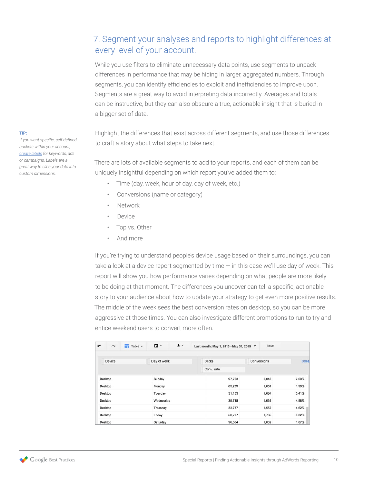## 7. Segment your analyses and reports to highlight differences at every level of your account.

While you use filters to eliminate unnecessary data points, use segments to unpack differences in performance that may be hiding in larger, aggregated numbers. Through segments, you can identify efficiencies to exploit and inefficiencies to improve upon. Segments are a great way to avoid interpreting data incorrectly. Averages and totals can be instructive, but they can also obscure a true, actionable insight that is buried in a bigger set of data.

Highlight the differences that exist across different segments, and use those differences to craft a story about what steps to take next.

There are lots of available segments to add to your reports, and each of them can be uniquely insightful depending on which report you've added them to:

- Time (day, week, hour of day, day of week, etc.)
- Conversions (name or category)
- Network
- Device
- Top vs. Other
- And more

If you're trying to understand people's device usage based on their surroundings, you can take a look at a device report segmented by time — in this case we'll use day of week. This report will show you how performance varies depending on what people are more likely to be doing at that moment. The differences you uncover can tell a specific, actionable story to your audience about how to update your strategy to get even more positive results. The middle of the week sees the best conversion rates on desktop, so you can be more aggressive at those times. You can also investigate different promotions to run to try and entice weekend users to convert more often.

| $\overline{\phantom{0}}$ | $\sim$  | Table -<br>m | 급 -         | $\pm$ $\sqrt{ }$ | Last month: May 1, 2015 - May 31, 2015 ▼ |        |             | Reset |       |
|--------------------------|---------|--------------|-------------|------------------|------------------------------------------|--------|-------------|-------|-------|
|                          |         |              |             |                  |                                          |        |             |       |       |
|                          | Device  |              | Day of week |                  | <b>Clicks</b>                            |        | Conversions |       | Colla |
|                          |         |              |             |                  | Conv. rate                               |        |             |       |       |
|                          | Desktop |              | Sunday      |                  |                                          | 97,763 |             | 2,048 | 2.09% |
|                          | Desktop |              | Monday      |                  |                                          | 83,239 |             | 1,657 | 1.99% |
|                          | Desktop |              | Tuesday     |                  |                                          | 31,103 |             | 1,684 | 5.41% |
|                          | Desktop |              | Wednesday   |                  |                                          | 35,738 |             | 1,636 | 4.58% |
|                          | Desktop |              | Thursday    |                  |                                          | 33,737 |             | 1,557 | 4.62% |
|                          | Desktop |              | Friday      |                  |                                          | 53,797 |             | 1,785 | 3.32% |
|                          | Desktop |              | Saturday    |                  |                                          | 96,564 |             | 1,802 | 1.87% |

TIP:

*If you want specific, self-defined buckets within your account, [create labels](https://support.google.com/adwords/answer/2475865) for keywords, ads or campaigns. Labels are a great way to slice your data into custom dimensions.*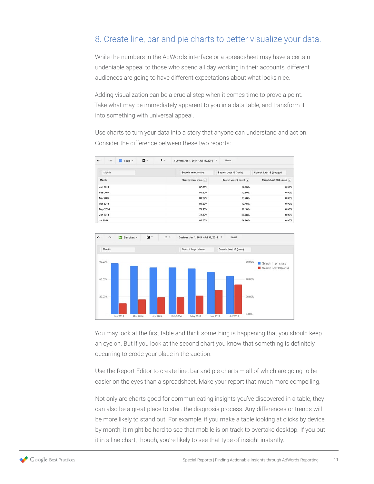### 8. Create line, bar and pie charts to better visualize your data.

While the numbers in the AdWords interface or a spreadsheet may have a certain undeniable appeal to those who spend all day working in their accounts, different audiences are going to have different expectations about what looks nice.

Adding visualization can be a crucial step when it comes time to prove a point. Take what may be immediately apparent to you in a data table, and transform it into something with universal appeal.

Use charts to turn your data into a story that anyone can understand and act on. Consider the difference between these two reports:

| $\sqrt{2}$      | $\sim$   | $\overline{111}$ Table $\sim$ | ۰<br>× | $\pm$ . | Custom: Jan 1, 2014 - Jul 31, 2014 - | Reset                   |                           |
|-----------------|----------|-------------------------------|--------|---------|--------------------------------------|-------------------------|---------------------------|
|                 | Month    |                               |        |         | Search Impr. share                   | Search Lost IS (rank)   | Search Lost IS (budget)   |
| Month           |          |                               |        |         | Search Impr. share                   | Search Lost IS (rank) - | Search Lost IS (budget) - |
|                 | Jan 2014 |                               |        |         | 87.65%                               | 12.35%                  | 0.00%                     |
|                 | Feb 2014 |                               |        |         | 80.50%                               | 19.50%                  | 0.00%                     |
|                 | Mar 2014 |                               |        |         | 83.22%                               | 16.78%                  | 0.00%                     |
|                 | Apr 2014 |                               |        |         | 80.52%                               | 19.48%                  | 0.00%                     |
|                 | May 2014 |                               |        |         | 78.90%                               | 21.10%                  | 0.00%                     |
|                 | Jun 2014 |                               |        |         | 72.32%                               | 27.68%                  | 0.00%                     |
| <b>Jul 2014</b> |          |                               |        |         | 65.76%                               | 34.24%                  | 0.00%                     |



You may look at the first table and think something is happening that you should keep an eye on. But if you look at the second chart you know that something is definitely occurring to erode your place in the auction.

Use the Report Editor to create line, bar and pie charts  $-$  all of which are going to be easier on the eyes than a spreadsheet. Make your report that much more compelling.

Not only are charts good for communicating insights you've discovered in a table, they can also be a great place to start the diagnosis process. Any differences or trends will be more likely to stand out. For example, if you make a table looking at clicks by device by month, it might be hard to see that mobile is on track to overtake desktop. If you put it in a line chart, though, you're likely to see that type of insight instantly.

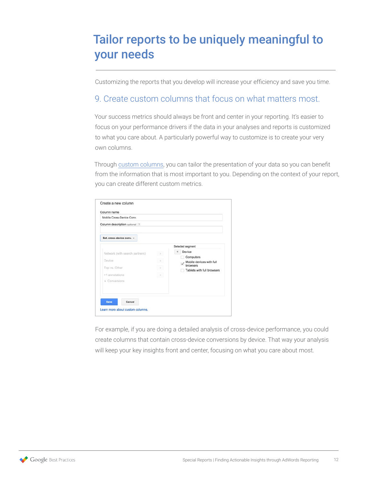# <span id="page-11-0"></span>Tailor reports to be uniquely meaningful to your needs

Customizing the reports that you develop will increase your efficiency and save you time.

### 9. Create custom columns that focus on what matters most.

Your success metrics should always be front and center in your reporting. It's easier to focus on your performance drivers if the data in your analyses and reports is customized to what you care about. A particularly powerful way to customize is to create your very own columns.

Through [custom columns](https://support.google.com/adwords/answer/3073556), you can tailor the presentation of your data so you can benefit from the information that is most important to you. Depending on the context of your report, you can create different custom metrics.

| Column description optional ?  |               |                                      |
|--------------------------------|---------------|--------------------------------------|
| Est. cross-device conv. v      |               |                                      |
|                                |               | Selected segment                     |
| Network (with search partners) | $\mathcal{R}$ | Device<br>ĸ                          |
| Device                         |               | Computers                            |
|                                | $\mathcal{D}$ | Mobile devices with full<br>browsers |
| Top vs. Other                  | $\mathcal{D}$ | Tablets with full browsers           |
| +1 annotations                 | $\gg$         |                                      |
| Conversions                    |               |                                      |
|                                |               |                                      |
|                                |               |                                      |

For example, if you are doing a detailed analysis of cross-device performance, you could create columns that contain cross-device conversions by device. That way your analysis will keep your key insights front and center, focusing on what you care about most.

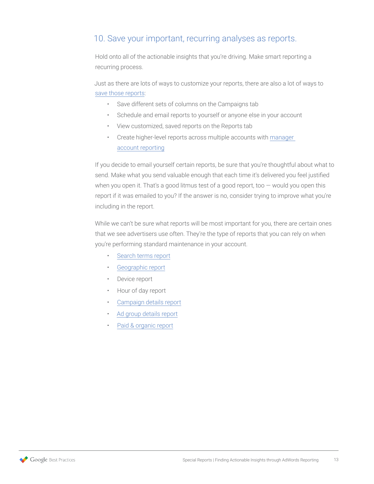### 10. Save your important, recurring analyses as reports.

Hold onto all of the actionable insights that you're driving. Make smart reporting a recurring process.

Just as there are lots of ways to customize your reports, there are also a lot of ways to [save those reports:](https://support.google.com/adwords/answer/2404176)

- Save different sets of columns on the Campaigns tab
- Schedule and email reports to yourself or anyone else in your account
- View customized, saved reports on the Reports tab
- Create higher-level reports across multiple accounts with manager [account reporting](https://support.google.com/adwords/answer/6139225?rd=2)

If you decide to email yourself certain reports, be sure that you're thoughtful about what to send. Make what you send valuable enough that each time it's delivered you feel justified when you open it. That's a good litmus test of a good report, too  $-$  would you open this report if it was emailed to you? If the answer is no, consider trying to improve what you're including in the report.

While we can't be sure what reports will be most important for you, there are certain ones that we see advertisers use often. They're the type of reports that you can rely on when you're performing standard maintenance in your account.

- [Search terms report](https://support.google.com/adwords/answer/2472708)
- [Geographic report](https://support.google.com/adwords/answer/2453994)
- Device report
- Hour of day report
- [Campaign details report](https://support.google.com/adwords/answer/2404036)
- [Ad group details report](https://support.google.com/adwords/answer/2404036#adgroupdata)
- [Paid & organic report](https://support.google.com/adwords/answer/3097241)

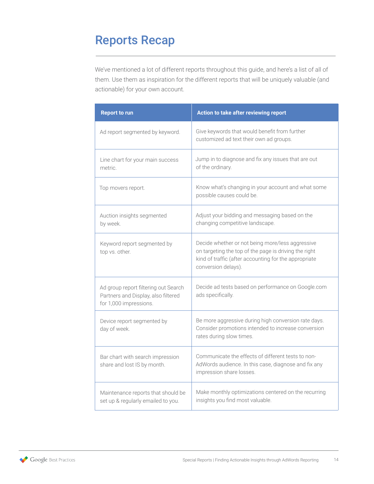# <span id="page-13-0"></span>Reports Recap

We've mentioned a lot of different reports throughout this guide, and here's a list of all of them. Use them as inspiration for the different reports that will be uniquely valuable (and actionable) for your own account.

| <b>Report to run</b>                                                                                  | Action to take after reviewing report                                                                                                                                                     |
|-------------------------------------------------------------------------------------------------------|-------------------------------------------------------------------------------------------------------------------------------------------------------------------------------------------|
| Ad report segmented by keyword.                                                                       | Give keywords that would benefit from further<br>customized ad text their own ad groups.                                                                                                  |
| Line chart for your main success<br>metric.                                                           | Jump in to diagnose and fix any issues that are out<br>of the ordinary.                                                                                                                   |
| Top movers report.                                                                                    | Know what's changing in your account and what some<br>possible causes could be.                                                                                                           |
| Auction insights segmented<br>by week.                                                                | Adjust your bidding and messaging based on the<br>changing competitive landscape.                                                                                                         |
| Keyword report segmented by<br>top vs. other.                                                         | Decide whether or not being more/less aggressive<br>on targeting the top of the page is driving the right<br>kind of traffic (after accounting for the appropriate<br>conversion delays). |
| Ad group report filtering out Search<br>Partners and Display, also filtered<br>for 1,000 impressions. | Decide ad tests based on performance on Google.com<br>ads specifically.                                                                                                                   |
| Device report segmented by<br>day of week.                                                            | Be more aggressive during high conversion rate days.<br>Consider promotions intended to increase conversion<br>rates during slow times.                                                   |
| Bar chart with search impression<br>share and lost IS by month.                                       | Communicate the effects of different tests to non-<br>AdWords audience. In this case, diagnose and fix any<br>impression share losses.                                                    |
| Maintenance reports that should be<br>set up & regularly emailed to you.                              | Make monthly optimizations centered on the recurring<br>insights you find most valuable.                                                                                                  |